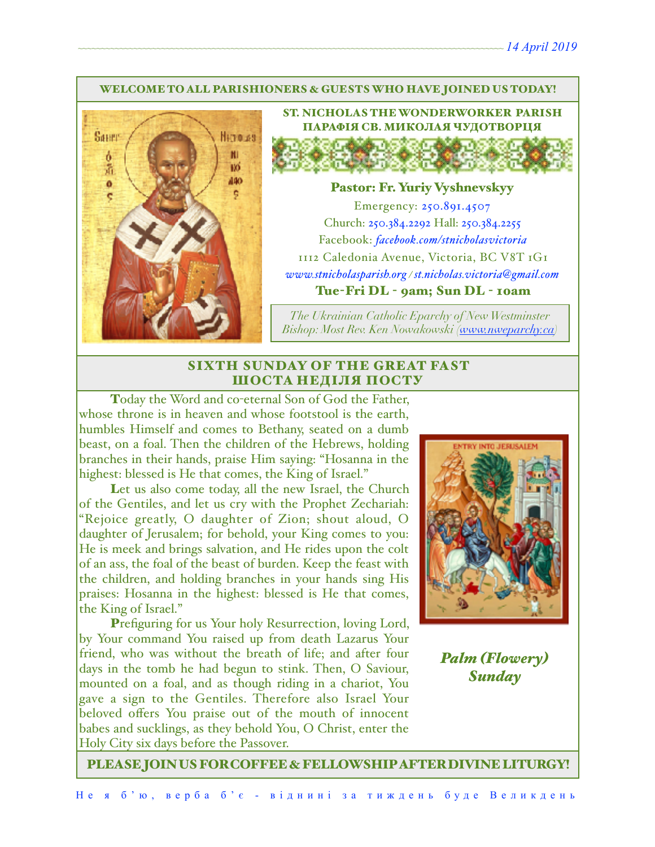#### WELCOME TO ALL PARISHIONERS & GUESTS WHO HAVE JOINED US TODAY!



ST. NICHOLAS THE WONDERWORKER PARISH ПАРАФІЯ СВ. МИКОЛАЯ ЧУДОТВОРЦЯ

#### Pastor: Fr. Yuriy Vyshnevskyy

Emergency: 250.891.4507 Church: 250.384.2292 Hall: 250.384.2255 Facebook: *[facebook.com/stnicholasvictoria](http://facebook.com/stnicholasvictoria)* 1112 Caledonia Avenue, Victoria, BC V8T 1G1 *[www.stnicholasparish.org](http://www.stnicholasparish.org) / [st.nicholas.victoria@gmail.com](mailto:st.nicholas.victoria@gmail.com)* Tue-Fri DL - 9am; Sun DL - 10am

*The Ukrainian Catholic Eparchy of New Westminster Bishop: Most Rev. Ken Nowakowski ([www.nweparchy.ca](http://www.nweparchy.ca))*

## SIXTH SUNDAY OF THE GREAT FAST ШОСТА НЕДІЛЯ ПОСТУ

Today the Word and co-eternal Son of God the Father, whose throne is in heaven and whose footstool is the earth, humbles Himself and comes to Bethany, seated on a dumb beast, on a foal. Then the children of the Hebrews, holding branches in their hands, praise Him saying: "Hosanna in the highest: blessed is He that comes, the King of Israel."

Let us also come today, all the new Israel, the Church of the Gentiles, and let us cry with the Prophet Zechariah: "Rejoice greatly, O daughter of Zion; shout aloud, O daughter of Jerusalem; for behold, your King comes to you: He is meek and brings salvation, and He rides upon the colt of an ass, the foal of the beast of burden. Keep the feast with the children, and holding branches in your hands sing His praises: Hosanna in the highest: blessed is He that comes, the King of Israel."

Prefiguring for us Your holy Resurrection, loving Lord, by Your command You raised up from death Lazarus Your friend, who was without the breath of life; and after four days in the tomb he had begun to stink. Then, O Saviour, mounted on a foal, and as though riding in a chariot, You gave a sign to the Gentiles. Therefore also Israel Your beloved offers You praise out of the mouth of innocent babes and sucklings, as they behold You, O Christ, enter the Holy City six days before the Passover.



*Palm (Flowery) Sunday*

PLEASE JOIN US FOR COFFEE & FELLOWSHIP AFTER DIVINE LITURGY!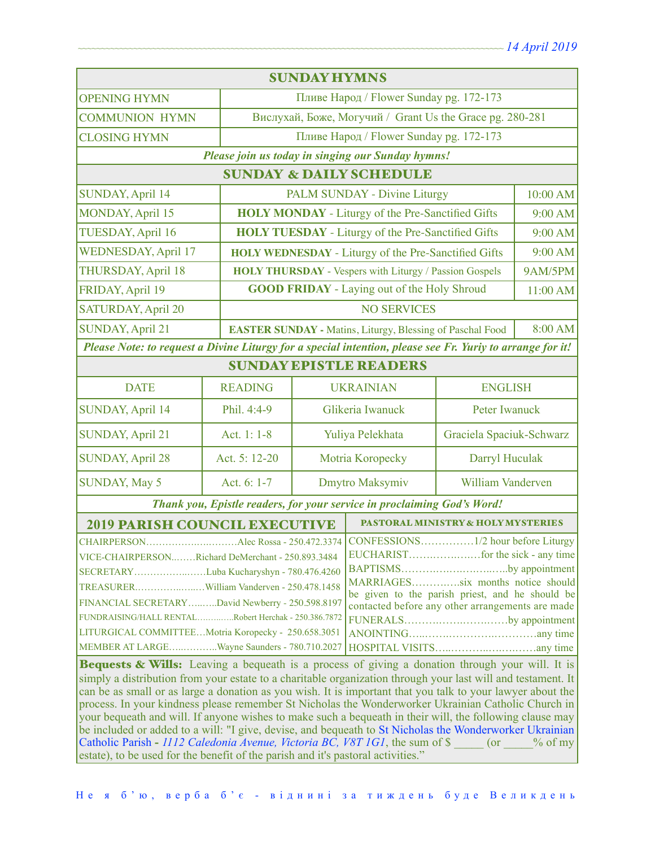| <b>SUNDAY HYMNS</b>                                                                                                                                                                                                                                                                                                                                                                                                                                                                                                                                                                                                                                                                                                                            |                |                                                                             |                                                           |                          |          |  |
|------------------------------------------------------------------------------------------------------------------------------------------------------------------------------------------------------------------------------------------------------------------------------------------------------------------------------------------------------------------------------------------------------------------------------------------------------------------------------------------------------------------------------------------------------------------------------------------------------------------------------------------------------------------------------------------------------------------------------------------------|----------------|-----------------------------------------------------------------------------|-----------------------------------------------------------|--------------------------|----------|--|
| Пливе Народ / Flower Sunday pg. 172-173<br><b>OPENING HYMN</b>                                                                                                                                                                                                                                                                                                                                                                                                                                                                                                                                                                                                                                                                                 |                |                                                                             |                                                           |                          |          |  |
| <b>COMMUNION HYMN</b>                                                                                                                                                                                                                                                                                                                                                                                                                                                                                                                                                                                                                                                                                                                          |                | Вислухай, Боже, Могучий / Grant Us the Grace pg. 280-281                    |                                                           |                          |          |  |
| <b>CLOSING HYMN</b>                                                                                                                                                                                                                                                                                                                                                                                                                                                                                                                                                                                                                                                                                                                            |                | Пливе Народ / Flower Sunday pg. 172-173                                     |                                                           |                          |          |  |
| Please join us today in singing our Sunday hymns!                                                                                                                                                                                                                                                                                                                                                                                                                                                                                                                                                                                                                                                                                              |                |                                                                             |                                                           |                          |          |  |
| <b>SUNDAY &amp; DAILY SCHEDULE</b>                                                                                                                                                                                                                                                                                                                                                                                                                                                                                                                                                                                                                                                                                                             |                |                                                                             |                                                           |                          |          |  |
| <b>SUNDAY, April 14</b>                                                                                                                                                                                                                                                                                                                                                                                                                                                                                                                                                                                                                                                                                                                        |                |                                                                             | PALM SUNDAY - Divine Liturgy                              |                          | 10:00 AM |  |
| <b>MONDAY, April 15</b>                                                                                                                                                                                                                                                                                                                                                                                                                                                                                                                                                                                                                                                                                                                        |                | <b>HOLY MONDAY</b> - Liturgy of the Pre-Sanctified Gifts                    |                                                           |                          | 9:00 AM  |  |
| TUESDAY, April 16                                                                                                                                                                                                                                                                                                                                                                                                                                                                                                                                                                                                                                                                                                                              |                |                                                                             | <b>HOLY TUESDAY</b> - Liturgy of the Pre-Sanctified Gifts |                          | 9:00 AM  |  |
| <b>WEDNESDAY, April 17</b>                                                                                                                                                                                                                                                                                                                                                                                                                                                                                                                                                                                                                                                                                                                     |                | <b>HOLY WEDNESDAY</b> - Liturgy of the Pre-Sanctified Gifts                 |                                                           | 9:00 AM                  |          |  |
| <b>THURSDAY, April 18</b>                                                                                                                                                                                                                                                                                                                                                                                                                                                                                                                                                                                                                                                                                                                      |                | <b>HOLY THURSDAY - Vespers with Liturgy / Passion Gospels</b>               |                                                           | 9AM/5PM                  |          |  |
| FRIDAY, April 19                                                                                                                                                                                                                                                                                                                                                                                                                                                                                                                                                                                                                                                                                                                               |                |                                                                             | <b>GOOD FRIDAY</b> - Laying out of the Holy Shroud        |                          | 11:00 AM |  |
| <b>SATURDAY, April 20</b>                                                                                                                                                                                                                                                                                                                                                                                                                                                                                                                                                                                                                                                                                                                      |                | <b>NO SERVICES</b>                                                          |                                                           |                          |          |  |
| <b>SUNDAY, April 21</b>                                                                                                                                                                                                                                                                                                                                                                                                                                                                                                                                                                                                                                                                                                                        |                | 8:00 AM<br><b>EASTER SUNDAY - Matins, Liturgy, Blessing of Paschal Food</b> |                                                           |                          |          |  |
| Please Note: to request a Divine Liturgy for a special intention, please see Fr. Yuriy to arrange for it!                                                                                                                                                                                                                                                                                                                                                                                                                                                                                                                                                                                                                                      |                |                                                                             |                                                           |                          |          |  |
| <b>SUNDAY EPISTLE READERS</b>                                                                                                                                                                                                                                                                                                                                                                                                                                                                                                                                                                                                                                                                                                                  |                |                                                                             |                                                           |                          |          |  |
| <b>DATE</b>                                                                                                                                                                                                                                                                                                                                                                                                                                                                                                                                                                                                                                                                                                                                    | <b>READING</b> | <b>UKRAINIAN</b>                                                            |                                                           | <b>ENGLISH</b>           |          |  |
| <b>SUNDAY, April 14</b>                                                                                                                                                                                                                                                                                                                                                                                                                                                                                                                                                                                                                                                                                                                        | Phil. 4:4-9    | Glikeria Iwanuck                                                            |                                                           | Peter Iwanuck            |          |  |
| <b>SUNDAY, April 21</b>                                                                                                                                                                                                                                                                                                                                                                                                                                                                                                                                                                                                                                                                                                                        | Act. 1: 1-8    | Yuliya Pelekhata                                                            |                                                           | Graciela Spaciuk-Schwarz |          |  |
| <b>SUNDAY, April 28</b>                                                                                                                                                                                                                                                                                                                                                                                                                                                                                                                                                                                                                                                                                                                        | Act. 5: 12-20  | Motria Koropecky                                                            |                                                           | Darryl Huculak           |          |  |
| <b>SUNDAY, May 5</b>                                                                                                                                                                                                                                                                                                                                                                                                                                                                                                                                                                                                                                                                                                                           | Act. 6: 1-7    | Dmytro Maksymiv                                                             |                                                           | <b>William Vanderven</b> |          |  |
| Thank you, Epistle readers, for your service in proclaiming God's Word!                                                                                                                                                                                                                                                                                                                                                                                                                                                                                                                                                                                                                                                                        |                |                                                                             |                                                           |                          |          |  |
| <b>2019 PARISH COUNCIL EXECUTIVE</b><br><b>PASTORAL MINISTRY &amp; HOLY MYSTERIES</b>                                                                                                                                                                                                                                                                                                                                                                                                                                                                                                                                                                                                                                                          |                |                                                                             |                                                           |                          |          |  |
| CHAIRPERSONAlec Rossa - 250.472.3374<br>VICE-CHAIRPERSONRichard DeMerchant - 250.893.3484<br>BAPTISMSby appointment<br>SECRETARYLuba Kucharyshyn - 780.476.4260<br>MARRIAGESsix months notice should<br>be given to the parish priest, and he should be<br>FINANCIAL SECRETARYDavid Newberry - 250.598.8197<br>contacted before any other arrangements are made<br>FUNDRAISING/HALL RENTALRobert Herchak - 250.386.7872<br>FUNERALSby appointment<br>LITURGICAL COMMITTEEMotria Koropecky - 250.658.3051<br>MEMBER AT LARGEWayne Saunders - 780.710.2027<br>Bequests & Wills: Leaving a bequeath is a process of giving a donation through your will. It is                                                                                    |                |                                                                             |                                                           |                          |          |  |
| simply a distribution from your estate to a charitable organization through your last will and testament. It<br>can be as small or as large a donation as you wish. It is important that you talk to your lawyer about the<br>process. In your kindness please remember St Nicholas the Wonderworker Ukrainian Catholic Church in<br>your bequeath and will. If anyone wishes to make such a bequeath in their will, the following clause may<br>be included or added to a will: "I give, devise, and bequeath to St Nicholas the Wonderworker Ukrainian<br>Catholic Parish - 1112 Caledonia Avenue, Victoria BC, V8T 1G1, the sum of \$ (or<br>$\%$ of my<br>estate), to be used for the benefit of the parish and it's pastoral activities." |                |                                                                             |                                                           |                          |          |  |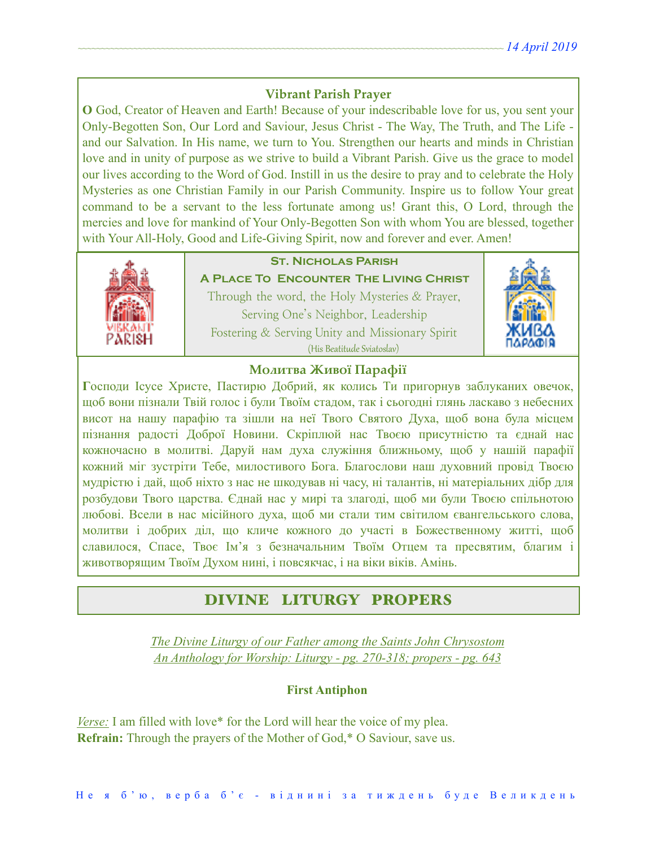## **Vibrant Parish Prayer**

**O** God, Creator of Heaven and Earth! Because of your indescribable love for us, you sent your Only-Begotten Son, Our Lord and Saviour, Jesus Christ - The Way, The Truth, and The Life and our Salvation. In His name, we turn to You. Strengthen our hearts and minds in Christian love and in unity of purpose as we strive to build a Vibrant Parish. Give us the grace to model our lives according to the Word of God. Instill in us the desire to pray and to celebrate the Holy Mysteries as one Christian Family in our Parish Community. Inspire us to follow Your great command to be a servant to the less fortunate among us! Grant this, O Lord, through the mercies and love for mankind of Your Only-Begotten Son with whom You are blessed, together with Your All-Holy, Good and Life-Giving Spirit, now and forever and ever. Amen!



# **St. Nicholas Parish**

**A Place To Encounter The Living Christ** Through the word, the Holy Mysteries & Prayer, Serving One's Neighbor, Leadership Fostering & Serving Unity and Missionary Spirit (His Beatitude Sviatoslav)



## **Молитва Живої Парафії**

**Г**осподи Ісусе Христе, Пастирю Добрий, як колись Ти пригорнув заблуканих овечок, щоб вони пізнали Твій голос і були Твоїм стадом, так і сьогодні глянь ласкаво з небесних висот на нашу парафію та зішли на неї Твого Святого Духа, щоб вона була місцем пізнання радості Доброї Новини. Скріплюй нас Твоєю присутністю та єднай нас кожночасно в молитві. Даруй нам духа служіння ближньому, щоб у нашій парафії кожний міг зустріти Тебе, милостивого Бога. Благослови наш духовний провід Твоєю мудрістю і дай, щоб ніхто з нас не шкодував ні часу, ні талантів, ні матеріальних дібр для розбудови Твого царства. Єднай нас у мирі та злагоді, щоб ми були Твоєю спільнотою любові. Всели в нас місійного духа, щоб ми стали тим світилом євангельського слова, молитви і добрих діл, що кличе кожного до участі в Божественному житті, щоб славилося, Спасе, Твоє Ім'я з безначальним Твоїм Отцем та пресвятим, благим і животворящим Твоїм Духом нині, і повсякчас, і на віки віків. Амінь.

# DIVINE LITURGY PROPERS

*The Divine Liturgy of our Father among the Saints John Chrysostom An Anthology for Worship: Liturgy - pg. 270-318; propers - pg. 643* 

### **First Antiphon**

*Verse:* I am filled with love\* for the Lord will hear the voice of my plea. **Refrain:** Through the prayers of the Mother of God,\* O Saviour, save us.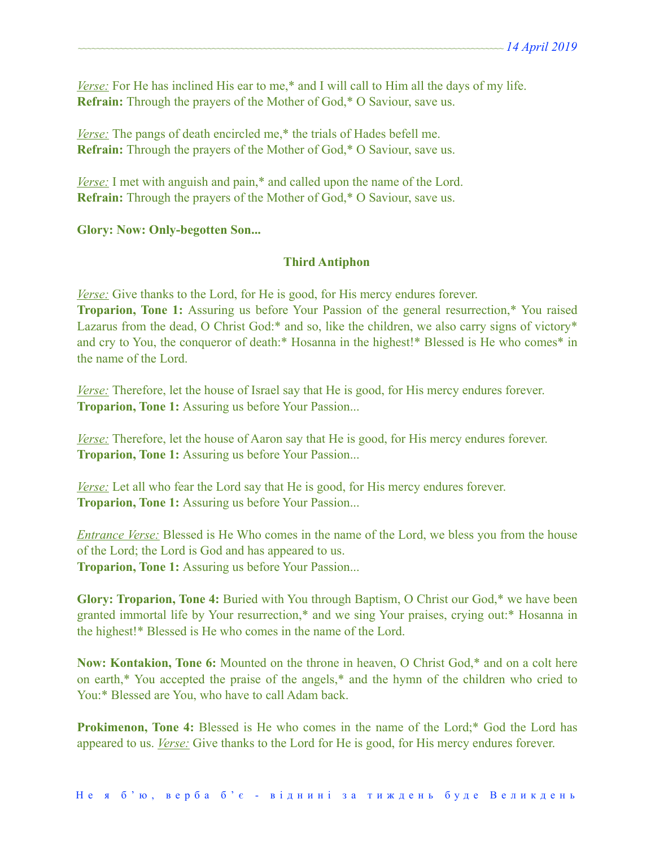*Verse:* For He has inclined His ear to me,\* and I will call to Him all the days of my life. **Refrain:** Through the prayers of the Mother of God,\* O Saviour, save us.

*<u>Verse:</u>* The pangs of death encircled me,<sup>\*</sup> the trials of Hades befell me. **Refrain:** Through the prayers of the Mother of God,\* O Saviour, save us.

*Verse:* I met with anguish and pain,<sup>\*</sup> and called upon the name of the Lord. **Refrain:** Through the prayers of the Mother of God,\* O Saviour, save us.

## **Glory: Now: Only-begotten Son...**

## **Third Antiphon**

*Verse:* Give thanks to the Lord, for He is good, for His mercy endures forever.

**Troparion, Tone 1:** Assuring us before Your Passion of the general resurrection,\* You raised Lazarus from the dead, O Christ God:\* and so, like the children, we also carry signs of victory\* and cry to You, the conqueror of death:\* Hosanna in the highest!\* Blessed is He who comes\* in the name of the Lord.

*Verse:* Therefore, let the house of Israel say that He is good, for His mercy endures forever. **Troparion, Tone 1:** Assuring us before Your Passion...

*Verse:* Therefore, let the house of Aaron say that He is good, for His mercy endures forever. **Troparion, Tone 1:** Assuring us before Your Passion...

*Verse:* Let all who fear the Lord say that He is good, for His mercy endures forever. **Troparion, Tone 1:** Assuring us before Your Passion...

*Entrance Verse:* Blessed is He Who comes in the name of the Lord, we bless you from the house of the Lord; the Lord is God and has appeared to us. **Troparion, Tone 1:** Assuring us before Your Passion...

**Glory: Troparion, Tone 4:** Buried with You through Baptism, O Christ our God,\* we have been granted immortal life by Your resurrection,\* and we sing Your praises, crying out:\* Hosanna in the highest!\* Blessed is He who comes in the name of the Lord.

**Now: Kontakion, Tone 6:** Mounted on the throne in heaven, O Christ God,\* and on a colt here on earth,\* You accepted the praise of the angels,\* and the hymn of the children who cried to You:\* Blessed are You, who have to call Adam back.

**Prokimenon, Tone 4:** Blessed is He who comes in the name of the Lord;<sup>\*</sup> God the Lord has appeared to us. *Verse:* Give thanks to the Lord for He is good, for His mercy endures forever.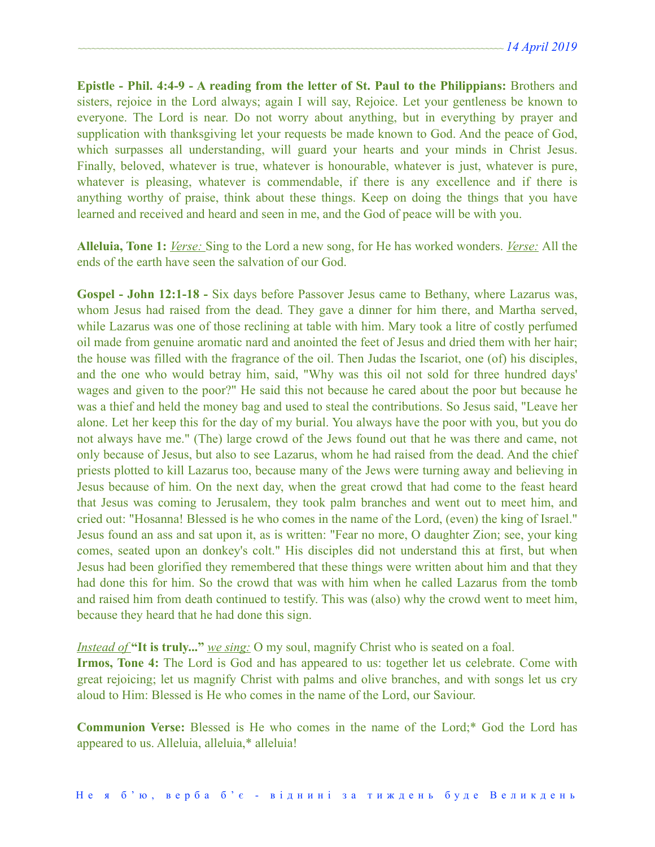**Epistle - Phil. 4:4-9 - A reading from the letter of St. Paul to the Philippians:** Brothers and sisters, rejoice in the Lord always; again I will say, Rejoice. Let your gentleness be known to everyone. The Lord is near. Do not worry about anything, but in everything by prayer and supplication with thanksgiving let your requests be made known to God. And the peace of God, which surpasses all understanding, will guard your hearts and your minds in Christ Jesus. Finally, beloved, whatever is true, whatever is honourable, whatever is just, whatever is pure, whatever is pleasing, whatever is commendable, if there is any excellence and if there is anything worthy of praise, think about these things. Keep on doing the things that you have learned and received and heard and seen in me, and the God of peace will be with you.

**Alleluia, Tone 1:** *Verse:* Sing to the Lord a new song, for He has worked wonders. *Verse:* All the ends of the earth have seen the salvation of our God.

**Gospel - John 12:1-18 -** Six days before Passover Jesus came to Bethany, where Lazarus was, whom Jesus had raised from the dead. They gave a dinner for him there, and Martha served, while Lazarus was one of those reclining at table with him. Mary took a litre of costly perfumed oil made from genuine aromatic nard and anointed the feet of Jesus and dried them with her hair; the house was filled with the fragrance of the oil. Then Judas the Iscariot, one (of) his disciples, and the one who would betray him, said, "Why was this oil not sold for three hundred days' wages and given to the poor?" He said this not because he cared about the poor but because he was a thief and held the money bag and used to steal the contributions. So Jesus said, "Leave her alone. Let her keep this for the day of my burial. You always have the poor with you, but you do not always have me." (The) large crowd of the Jews found out that he was there and came, not only because of Jesus, but also to see Lazarus, whom he had raised from the dead. And the chief priests plotted to kill Lazarus too, because many of the Jews were turning away and believing in Jesus because of him. On the next day, when the great crowd that had come to the feast heard that Jesus was coming to Jerusalem, they took palm branches and went out to meet him, and cried out: "Hosanna! Blessed is he who comes in the name of the Lord, (even) the king of Israel." Jesus found an ass and sat upon it, as is written: "Fear no more, O daughter Zion; see, your king comes, seated upon an donkey's colt." His disciples did not understand this at first, but when Jesus had been glorified they remembered that these things were written about him and that they had done this for him. So the crowd that was with him when he called Lazarus from the tomb and raised him from death continued to testify. This was (also) why the crowd went to meet him, because they heard that he had done this sign.

*Instead of* **"It is truly..."** *we sing:* O my soul, magnify Christ who is seated on a foal.

**Irmos, Tone 4:** The Lord is God and has appeared to us: together let us celebrate. Come with great rejoicing; let us magnify Christ with palms and olive branches, and with songs let us cry aloud to Him: Blessed is He who comes in the name of the Lord, our Saviour.

**Communion Verse:** Blessed is He who comes in the name of the Lord;\* God the Lord has appeared to us. Alleluia, alleluia,\* alleluia!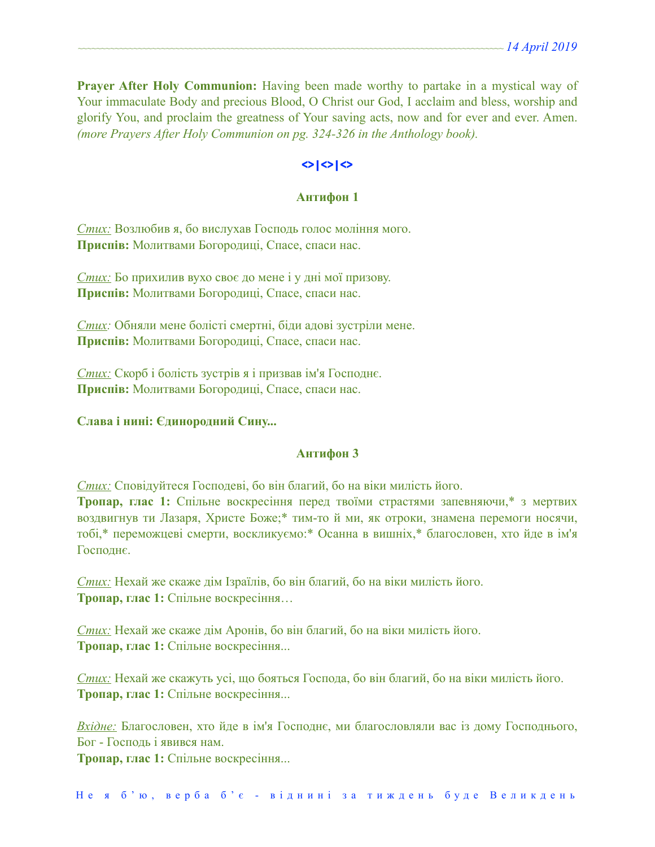**Prayer After Holy Communion:** Having been made worthy to partake in a mystical way of Your immaculate Body and precious Blood, O Christ our God, I acclaim and bless, worship and glorify You, and proclaim the greatness of Your saving acts, now and for ever and ever. Amen. *(more Prayers After Holy Communion on pg. 324-326 in the Anthology book).* 

## **<>|<>|<>**

#### **Антифон 1**

*Стих:* Возлюбив я, бо вислухав Господь голос моління мого. **Приспів:** Молитвами Богородиці, Спасе, спаси нас.

*Стих:* Бо прихилив вухо своє до мене і у дні мої призову. **Приспів:** Молитвами Богородиці, Спасе, спаси нас.

*Стих:* Обняли мене болісті смертні, біди адові зустріли мене. **Приспів:** Молитвами Богородиці, Спасе, спаси нас.

*Стих:* Скорб і болість зустрів я і призвав ім'я Господнє. **Приспів:** Молитвами Богородиці, Спасе, спаси нас.

#### **Слава і нині: Єдинородний Сину...**

#### **Антифон 3**

*Стих:* Сповідуйтеся Господеві, бо він благий, бо на віки милість його.

**Тропар, глас 1:** Спільне воскресіння перед твоїми страстями запевняючи,\* з мертвих воздвигнув ти Лазаря, Христе Боже;\* тим-то й ми, як отроки, знамена перемоги носячи, тобі,\* переможцеві смерти, воскликуємо:\* Осанна в вишніх,\* благословен, хто йде в ім'я Господнє.

*Стих:* Нехай же скаже дім Ізраїлів, бо він благий, бо на віки милість його. **Тропар, глас 1:** Спільне воскресіння…

*Стих:* Нехай же скаже дім Аронів, бо він благий, бо на віки милість його. **Тропар, глас 1:** Спільне воскресіння...

*Стих:* Нехай же скажуть усі, що бояться Господа, бо він благий, бо на віки милість його. **Тропар, глас 1:** Спільне воскресіння...

*Вхідне:* Благословен, хто йде в ім'я Господнє, ми благословляли вас із дому Господнього, Бог - Господь і явився нам.

**Тропар, глас 1:** Спільне воскресіння...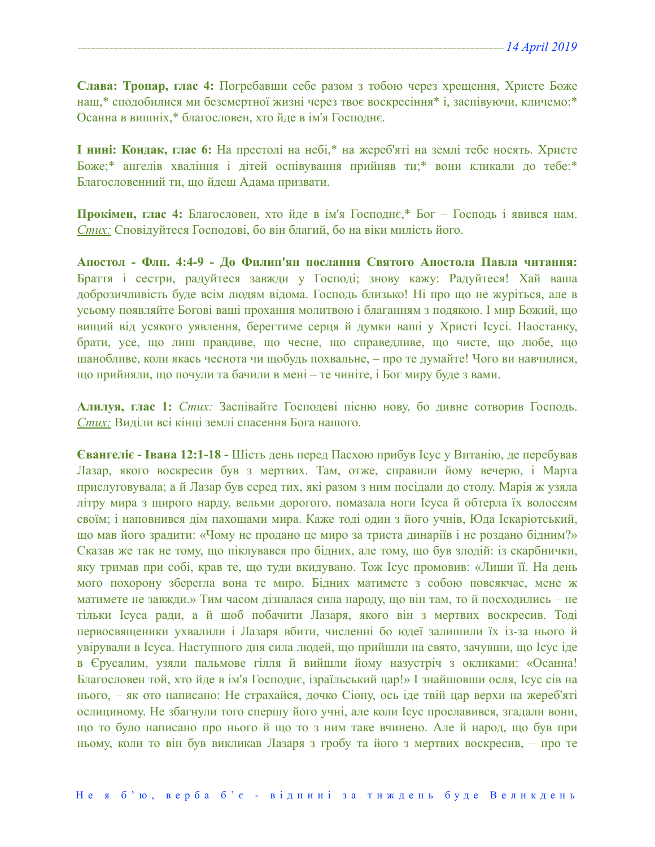**Слава: Тропар, глас 4:** Погребавши себе разом з тобою через хрещення, Христе Боже наш,\* сподобилися ми безсмертної жизні через твоє воскресіння\* і, заспівуючи, кличемо:\* Осанна в вишніх,\* благословен, хто йде в ім'я Господнє.

**І нині: Кондак, глас 6:** На престолі на небі,\* на жереб'яті на землі тебе носять. Христе Боже;\* ангелів хваління і дітей оспівування прийняв ти;\* вони кликали до тебе:\* Благословенний ти, що йдеш Адама призвати.

**Прокімен, глас 4:** Благословен, хто йде в ім'я Господнє,\* Бог – Господь і явився нам. *Стих:* Сповідуйтеся Господові, бо він благий, бо на віки милість його.

**Апостол - Флп. 4:4-9 - До Филип'ян послання Святого Апостола Павла читання:** Браття і сестри, радуйтеся завжди у Господі; знову кажу: Радуйтеся! Хай ваша доброзичливість буде всім людям відома. Господь близько! Ні про що не журіться, але в усьому появляйте Богові ваші прохання молитвою і благанням з подякою. І мир Божий, що вищий від усякого уявлення, берегтиме серця й думки ваші у Христі Ісусі. Наостанку, брати, усе, що лиш правдиве, що чесне, що справедливе, що чисте, що любе, що шанобливе, коли якась чеснота чи щобудь похвальне, – про те думайте! Чого ви навчилися, що прийняли, що почули та бачили в мені – те чиніте, і Бог миру буде з вами.

**Алилуя, глас 1:** *Стих:* Заспівайте Господеві пісню нову, бо дивне сотворив Господь. *Стих:* Виділи всі кінці землі спасення Бога нашого.

**Євангеліє - Івана 12:1-18 -** Шість день перед Пасхою прибув Ісус у Витанію, де перебував Лазар, якого воскресив був з мертвих. Там, отже, справили йому вечерю, і Марта прислуговувала; а й Лазар був серед тих, які разом з ним посідали до столу. Марія ж узяла літру мира з щирого нарду, вельми дорогого, помазала ноги Ісуса й обтерла їх волоссям своїм; і наповнився дім пахощами мира. Каже тоді один з його учнів, Юда Іскаріотський, що мав його зрадити: «Чому не продано це миро за триста динаріїв і не роздано бідним?» Сказав же так не тому, що піклувався про бідних, але тому, що був злодій: із скарбнички, яку тримав при собі, крав те, що туди вкидувано. Тож Ісус промовив: «Лиши її. На день мого похорону зберегла вона те миро. Бідних матимете з собою повсякчас, мене ж матимете не завжди.» Тим часом дізналася сила народу, що він там, то й посходились – не тільки Ісуса ради, а й щоб побачити Лазаря, якого він з мертвих воскресив. Тоді первосвященики ухвалили і Лазаря вбити, численні бо юдеї залишили їх із-за нього й увірували в Ісуса. Наступного дня сила людей, що прийшли на свято, зачувши, що Ісус іде в Єрусалим, узяли пальмове гілля й вийшли йому назустріч з окликами: «Осанна! Благословен той, хто йде в ім'я Господнє, ізраїльський цар!» І знайшовши осля, Ісус сів на нього, – як ото написано: Не страхайся, дочко Сіону, ось іде твій цар верхи на жереб'яті ослициному. Не збагнули того спершу його учні, але коли Ісус прославився, згадали вони, що то було написано про нього й що то з ним таке вчинено. Але й народ, що був при ньому, коли то він був викликав Лазаря з гробу та його з мертвих воскресив, – про те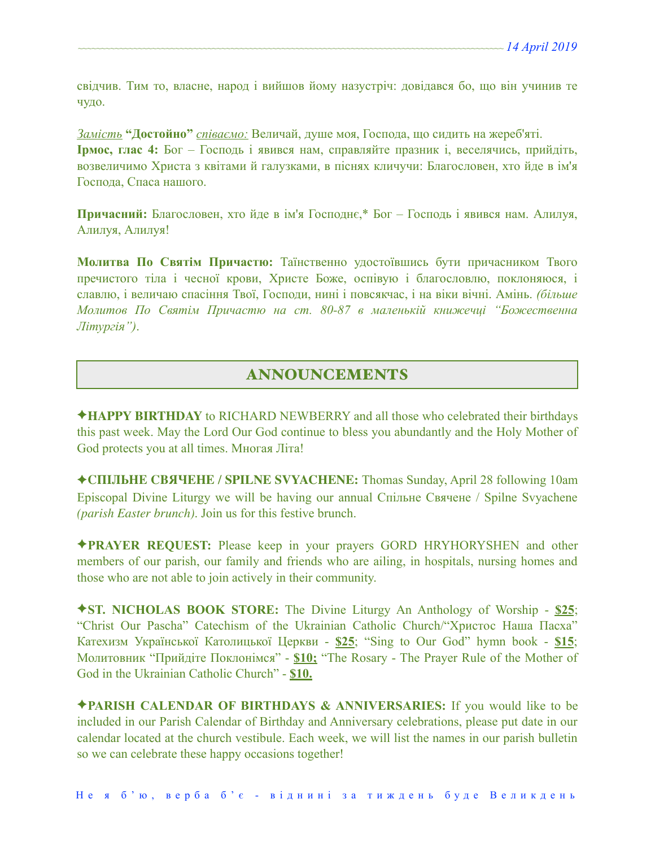свідчив. Тим то, власне, народ і вийшов йому назустріч: довідався бо, що він учинив те чудо.

*Замість* **"Достойно"** *співаємо:* Величай, душе моя, Господа, що сидить на жереб'яті. **Ірмос, глас 4:** Бог – Господь і явився нам, справляйте празник і, веселячись, прийдіть, возвеличимо Христа з квітами й галузками, в піснях кличучи: Благословен, хто йде в ім'я Господа, Спаса нашого.

**Причасний:** Благословен, хто йде в ім'я Господнє,\* Бог – Господь і явився нам. Алилуя, Алилуя, Алилуя!

**Молитва По Святім Причастю:** Таїнственно удостоївшись бути причасником Твого пречистого тіла і чесної крови, Христе Боже, оспівую і благословлю, поклоняюся, і славлю, і величаю спасіння Твої, Господи, нині і повсякчас, і на віки вічні. Амінь. *(більше Молитов По Святім Причастю на ст. 80-87 в маленькій книжечці "Божественна Літургія")*.

# ANNOUNCEMENTS

✦**HAPPY BIRTHDAY** to RICHARD NEWBERRY and all those who celebrated their birthdays this past week. May the Lord Our God continue to bless you abundantly and the Holy Mother of God protects you at all times. Многая Літа!

✦**СПІЛЬНЕ СВЯЧЕНЕ / SPILNE SVYACHENE:** Thomas Sunday, April 28 following 10am Episcopal Divine Liturgy we will be having our annual Спільне Свячене / Spilne Svyachene *(parish Easter brunch)*. Join us for this festive brunch.

✦**PRAYER REQUEST:** Please keep in your prayers GORD HRYHORYSHEN and other members of our parish, our family and friends who are ailing, in hospitals, nursing homes and those who are not able to join actively in their community.

✦**ST. NICHOLAS BOOK STORE:** The Divine Liturgy An Anthology of Worship - **\$25**; "Christ Our Pascha" Catechism of the Ukrainian Catholic Church/"Христос Наша Пасха" Катехизм Української Католицької Церкви - **\$25**; "Sing to Our God" hymn book - **\$15**; Молитовник "Прийдіте Поклонімся" - **\$10;** "The Rosary - The Prayer Rule of the Mother of God in the Ukrainian Catholic Church" - **\$10.** 

✦**PARISH CALENDAR OF BIRTHDAYS & ANNIVERSARIES:** If you would like to be included in our Parish Calendar of Birthday and Anniversary celebrations, please put date in our calendar located at the church vestibule. Each week, we will list the names in our parish bulletin so we can celebrate these happy occasions together!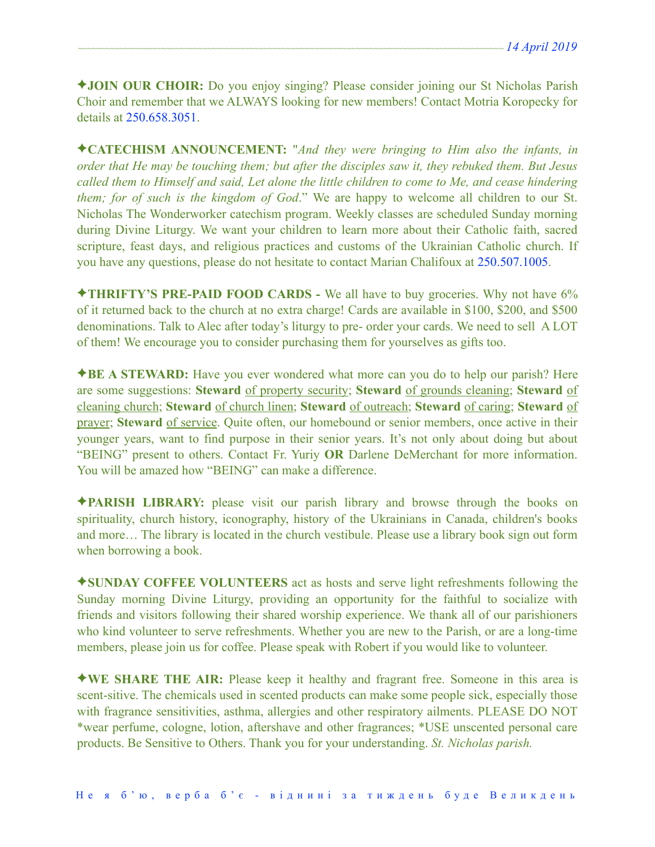✦**JOIN OUR CHOIR:** Do you enjoy singing? Please consider joining our St Nicholas Parish Choir and remember that we ALWAYS looking for new members! Contact Motria Koropecky for details at 250.658.3051.

✦**CATECHISM ANNOUNCEMENT:** "*And they were bringing to Him also the infants, in order that He may be touching them; but after the disciples saw it, they rebuked them. But Jesus called them to Himself and said, Let alone the little children to come to Me, and cease hindering them; for of such is the kingdom of God*." We are happy to welcome all children to our St. Nicholas The Wonderworker catechism program. Weekly classes are scheduled Sunday morning during Divine Liturgy. We want your children to learn more about their Catholic faith, sacred scripture, feast days, and religious practices and customs of the Ukrainian Catholic church. If you have any questions, please do not hesitate to contact Marian Chalifoux at 250.507.1005.

✦**THRIFTY'S PRE-PAID FOOD CARDS -** We all have to buy groceries. Why not have 6% of it returned back to the church at no extra charge! Cards are available in \$100, \$200, and \$500 denominations. Talk to Alec after today's liturgy to pre- order your cards. We need to sell A LOT of them! We encourage you to consider purchasing them for yourselves as gifts too.

✦**BE A STEWARD:** Have you ever wondered what more can you do to help our parish? Here are some suggestions: **Steward** of property security; **Steward** of grounds cleaning; **Steward** of cleaning church; **Steward** of church linen; **Steward** of outreach; **Steward** of caring; **Steward** of prayer; **Steward** of service. Quite often, our homebound or senior members, once active in their younger years, want to find purpose in their senior years. It's not only about doing but about "BEING" present to others. Contact Fr. Yuriy **OR** Darlene DeMerchant for more information. You will be amazed how "BEING" can make a difference.

✦**PARISH LIBRARY:** please visit our parish library and browse through the books on spirituality, church history, iconography, history of the Ukrainians in Canada, children's books and more… The library is located in the church vestibule. Please use a library book sign out form when borrowing a book.

✦**SUNDAY COFFEE VOLUNTEERS** act as hosts and serve light refreshments following the Sunday morning Divine Liturgy, providing an opportunity for the faithful to socialize with friends and visitors following their shared worship experience. We thank all of our parishioners who kind volunteer to serve refreshments. Whether you are new to the Parish, or are a long-time members, please join us for coffee. Please speak with Robert if you would like to volunteer.

✦**WE SHARE THE AIR:** Please keep it healthy and fragrant free. Someone in this area is scent-sitive. The chemicals used in scented products can make some people sick, especially those with fragrance sensitivities, asthma, allergies and other respiratory ailments. PLEASE DO NOT \*wear perfume, cologne, lotion, aftershave and other fragrances; \*USE unscented personal care products. Be Sensitive to Others. Thank you for your understanding. *St. Nicholas parish.*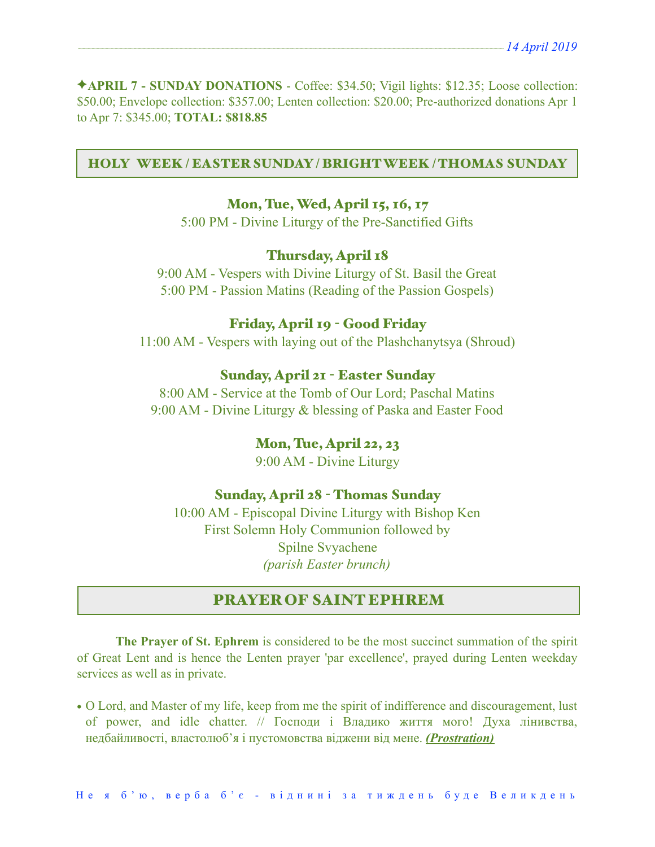✦**APRIL 7 - SUNDAY DONATIONS** - Coffee: \$34.50; Vigil lights: \$12.35; Loose collection: \$50.00; Envelope collection: \$357.00; Lenten collection: \$20.00; Pre-authorized donations Apr 1 to Apr 7: \$345.00; **TOTAL: \$818.85** 

#### HOLY WEEK / EASTER SUNDAY / BRIGHT WEEK / THOMAS SUNDAY

## Mon, Tue, Wed, April 15, 16, 17

5:00 PM - Divine Liturgy of the Pre-Sanctified Gifts

## Thursday, April 18

9:00 AM - Vespers with Divine Liturgy of St. Basil the Great 5:00 PM - Passion Matins (Reading of the Passion Gospels)

## Friday, April 19 - Good Friday

11:00 AM - Vespers with laying out of the Plashchanytsya (Shroud)

#### Sunday, April 21 - Easter Sunday

8:00 AM - Service at the Tomb of Our Lord; Paschal Matins 9:00 AM - Divine Liturgy & blessing of Paska and Easter Food

### Mon, Tue, April 22, 23

9:00 AM - Divine Liturgy

#### Sunday, April 28 - Thomas Sunday

10:00 AM - Episcopal Divine Liturgy with Bishop Ken First Solemn Holy Communion followed by Spilne Svyachene *(parish Easter brunch)* 

## PRAYER OF SAINT EPHREM

**The Prayer of St. Ephrem** is considered to be the most succinct summation of the spirit of Great Lent and is hence the Lenten prayer 'par excellence', prayed during Lenten weekday services as well as in private.

**•** O Lord, and Master of my life, keep from me the spirit of indifference and discouragement, lust of power, and idle chatter. // Господи і Владико життя мого! Духа лінивства, недбайливості, властолюб'я і пустомовства віджени від мене. *(Prostration)*